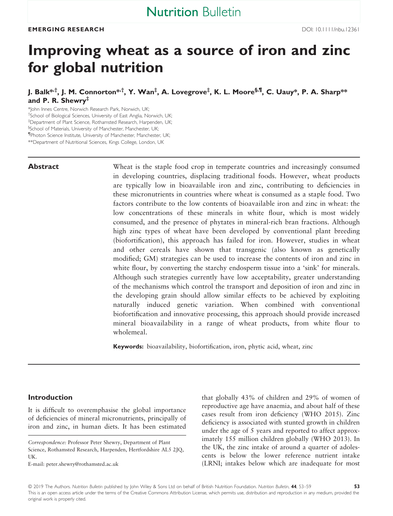# Improving wheat as a source of iron and zinc for global nutrition

J. Balk\*<sup>,†</sup>, J. M. Connorton\*<sup>,†</sup>, Y. Wan<sup>‡</sup>, A. Lovegrove<sup>‡</sup>, K. L. Moore<sup>§,¶</sup>, C. Uauy\*, P. A. Sharp\*\* and P. R. Shewry<sup>‡</sup>

\*John Innes Centre, Norwich Research Park, Norwich, UK; † School of Biological Sciences, University of East Anglia, Norwich, UK; ‡ Department of Plant Science, Rothamsted Research, Harpenden, UK; § School of Materials, University of Manchester, Manchester, UK; ¶ Photon Science Institute, University of Manchester, Manchester, UK; \*\*Department of Nutritional Sciences, Kings College, London, UK

Abstract Wheat is the staple food crop in temperate countries and increasingly consumed in developing countries, displacing traditional foods. However, wheat products are typically low in bioavailable iron and zinc, contributing to deficiencies in these micronutrients in countries where wheat is consumed as a staple food. Two factors contribute to the low contents of bioavailable iron and zinc in wheat: the low concentrations of these minerals in white flour, which is most widely consumed, and the presence of phytates in mineral-rich bran fractions. Although high zinc types of wheat have been developed by conventional plant breeding (biofortification), this approach has failed for iron. However, studies in wheat and other cereals have shown that transgenic (also known as genetically modified; GM) strategies can be used to increase the contents of iron and zinc in white flour, by converting the starchy endosperm tissue into a 'sink' for minerals. Although such strategies currently have low acceptability, greater understanding of the mechanisms which control the transport and deposition of iron and zinc in the developing grain should allow similar effects to be achieved by exploiting naturally induced genetic variation. When combined with conventional biofortification and innovative processing, this approach should provide increased mineral bioavailability in a range of wheat products, from white flour to wholemeal.

Keywords: bioavailability, biofortification, iron, phytic acid, wheat, zinc

### Introduction

It is difficult to overemphasise the global importance of deficiencies of mineral micronutrients, principally of iron and zinc, in human diets. It has been estimated

E-mail: [peter.shewry@rothamsted.ac.uk](mailto:)

that globally 43% of children and 29% of women of reproductive age have anaemia, and about half of these cases result from iron deficiency (WHO 2015). Zinc deficiency is associated with stunted growth in children under the age of 5 years and reported to affect approximately 155 million children globally (WHO 2013). In the UK, the zinc intake of around a quarter of adolescents is below the lower reference nutrient intake (LRNI; intakes below which are inadequate for most

Correspondence: Professor Peter Shewry, Department of Plant Science, Rothamsted Research, Harpenden, Hertfordshire AL5 2JQ, UK.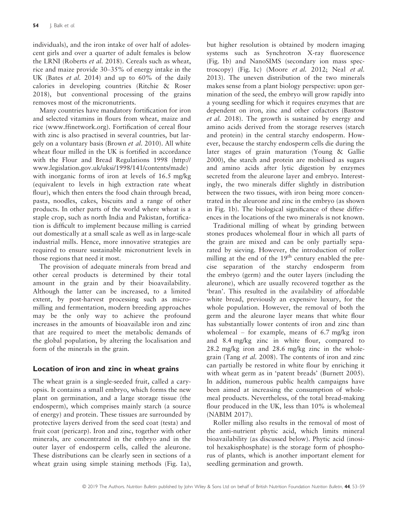individuals), and the iron intake of over half of adolescent girls and over a quarter of adult females is below the LRNI (Roberts et al. 2018). Cereals such as wheat, rice and maize provide 30–35% of energy intake in the UK (Bates et al. 2014) and up to 60% of the daily calories in developing countries (Ritchie & Roser 2018), but conventional processing of the grains removes most of the micronutrients.

Many countries have mandatory fortification for iron and selected vitamins in flours from wheat, maize and rice [\(www.ffinetwork.org](http://www.ffinetwork.org)). Fortification of cereal flour with zinc is also practised in several countries, but largely on a voluntary basis (Brown et al. 2010). All white wheat flour milled in the UK is fortified in accordance with the Flour and Bread Regulations 1998 [\(http://](http://www.legislation.gov.uk/uksi/1998/141/contents/made) [www.legislation.gov.uk/uksi/1998/141/contents/made\)](http://www.legislation.gov.uk/uksi/1998/141/contents/made) with inorganic forms of iron at levels of 16.5 mg/kg (equivalent to levels in high extraction rate wheat flour), which then enters the food chain through bread, pasta, noodles, cakes, biscuits and a range of other products. In other parts of the world where wheat is a staple crop, such as north India and Pakistan, fortification is difficult to implement because milling is carried out domestically at a small scale as well as in large-scale industrial mills. Hence, more innovative strategies are required to ensure sustainable micronutrient levels in those regions that need it most.

The provision of adequate minerals from bread and other cereal products is determined by their total amount in the grain and by their bioavailability. Although the latter can be increased, to a limited extent, by post-harvest processing such as micromilling and fermentation, modern breeding approaches may be the only way to achieve the profound increases in the amounts of bioavailable iron and zinc that are required to meet the metabolic demands of the global population, by altering the localisation and form of the minerals in the grain.

# Location of iron and zinc in wheat grains

The wheat grain is a single-seeded fruit, called a caryopsis. It contains a small embryo, which forms the new plant on germination, and a large storage tissue (the endosperm), which comprises mainly starch (a source of energy) and protein. These tissues are surrounded by protective layers derived from the seed coat (testa) and fruit coat (pericarp). Iron and zinc, together with other minerals, are concentrated in the embryo and in the outer layer of endosperm cells, called the aleurone. These distributions can be clearly seen in sections of a wheat grain using simple staining methods (Fig. 1a),

but higher resolution is obtained by modern imaging systems such as Synchrotron X-ray fluorescence (Fig. 1b) and NanoSIMS (secondary ion mass spectroscopy) (Fig. 1c) (Moore et al. 2012; Neal et al. 2013). The uneven distribution of the two minerals makes sense from a plant biology perspective: upon germination of the seed, the embryo will grow rapidly into a young seedling for which it requires enzymes that are dependent on iron, zinc and other cofactors (Bastow et al. 2018). The growth is sustained by energy and amino acids derived from the storage reserves (starch and protein) in the central starchy endosperm. However, because the starchy endosperm cells die during the later stages of grain maturation (Young & Gallie 2000), the starch and protein are mobilised as sugars and amino acids after lytic digestion by enzymes secreted from the aleurone layer and embryo. Interestingly, the two minerals differ slightly in distribution between the two tissues, with iron being more concentrated in the aleurone and zinc in the embryo (as shown in Fig. 1b). The biological significance of these differences in the locations of the two minerals is not known.

Traditional milling of wheat by grinding between stones produces wholemeal flour in which all parts of the grain are mixed and can be only partially separated by sieving. However, the introduction of roller milling at the end of the  $19<sup>th</sup>$  century enabled the precise separation of the starchy endosperm from the embryo (germ) and the outer layers (including the aleurone), which are usually recovered together as the 'bran'. This resulted in the availability of affordable white bread, previously an expensive luxury, for the whole population. However, the removal of both the germ and the aleurone layer means that white flour has substantially lower contents of iron and zinc than wholemeal – for example, means of 6.7 mg/kg iron and 8.4 mg/kg zinc in white flour, compared to 28.2 mg/kg iron and 28.6 mg/kg zinc in the wholegrain (Tang et al. 2008). The contents of iron and zinc can partially be restored in white flour by enriching it with wheat germ as in 'patent breads' (Burnett 2005). In addition, numerous public health campaigns have been aimed at increasing the consumption of wholemeal products. Nevertheless, of the total bread-making flour produced in the UK, less than 10% is wholemeal (NABIM 2017).

Roller milling also results in the removal of most of the anti-nutrient phytic acid, which limits mineral bioavailability (as discussed below). Phytic acid (inositol hexakisphosphate) is the storage form of phosphorus of plants, which is another important element for seedling germination and growth.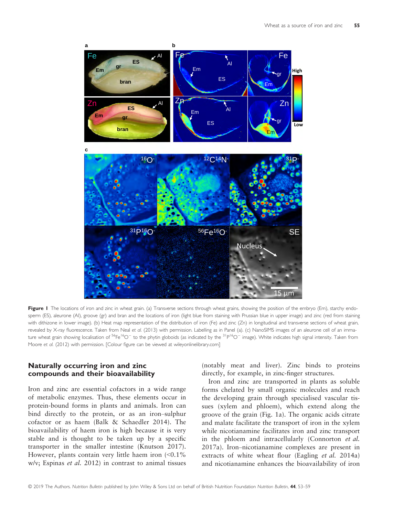

Figure I The locations of iron and zinc in wheat grain. (a) Transverse sections through wheat grains, showing the position of the embryo (Em), starchy endosperm (ES), aleurone (AI), groove (gr) and bran and the locations of iron (light blue from staining with Prussian blue in upper image) and zinc (red from staining with dithizone in lower image). (b) Heat map representation of the distribution of iron (Fe) and zinc (Zn) in longitudinal and transverse sections of wheat grain, revealed by X-ray fluorescence. Taken from Neal et al. (2013) with permission. Labelling as in Panel (a). (c) NanoSIMS images of an aleurone cell of an immature wheat grain showing localisation of  ${}^{56}Fe{}^{16}O^-$  to the phytin globoids (as indicated by the  ${}^{31}P{}^{16}O^-$  image). White indicates high signal intensity. Taken from Moore et al. (2012) with permission. [Colour figure can be viewed at wileyonlinelibrary.com]

## Naturally occurring iron and zinc compounds and their bioavailability

Iron and zinc are essential cofactors in a wide range of metabolic enzymes. Thus, these elements occur in protein-bound forms in plants and animals. Iron can bind directly to the protein, or as an iron–sulphur cofactor or as haem (Balk & Schaedler 2014). The bioavailability of haem iron is high because it is very stable and is thought to be taken up by a specific transporter in the smaller intestine (Knutson 2017). However, plants contain very little haem iron  $\langle 0.1\%$ w/v; Espinas et al. 2012) in contrast to animal tissues

(notably meat and liver). Zinc binds to proteins directly, for example, in zinc-finger structures.

Iron and zinc are transported in plants as soluble forms chelated by small organic molecules and reach the developing grain through specialised vascular tissues (xylem and phloem), which extend along the groove of the grain (Fig. 1a). The organic acids citrate and malate facilitate the transport of iron in the xylem while nicotianamine facilitates iron and zinc transport in the phloem and intracellularly (Connorton et al. 2017a). Iron–nicotianamine complexes are present in extracts of white wheat flour (Eagling et al. 2014a) and nicotianamine enhances the bioavailability of iron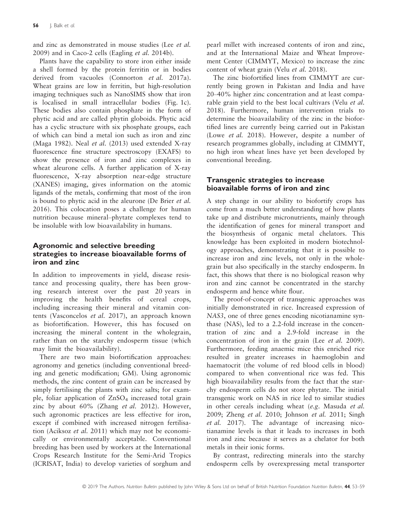and zinc as demonstrated in mouse studies (Lee et al. 2009) and in Caco-2 cells (Eagling et al. 2014b).

Plants have the capability to store iron either inside a shell formed by the protein ferritin or in bodies derived from vacuoles (Connorton et al. 2017a). Wheat grains are low in ferritin, but high-resolution imaging techniques such as NanoSIMS show that iron is localised in small intracellular bodies (Fig. 1c). These bodies also contain phosphate in the form of phytic acid and are called phytin globoids. Phytic acid has a cyclic structure with six phosphate groups, each of which can bind a metal ion such as iron and zinc (Maga 1982). Neal et al. (2013) used extended X-ray fluorescence fine structure spectroscopy (EXAFS) to show the presence of iron and zinc complexes in wheat aleurone cells. A further application of X-ray fluorescence, X-ray absorption near-edge structure (XANES) imaging, gives information on the atomic ligands of the metals, confirming that most of the iron is bound to phytic acid in the aleurone (De Brier et al. 2016). This colocation poses a challenge for human nutrition because mineral–phytate complexes tend to be insoluble with low bioavailability in humans.

# Agronomic and selective breeding strategies to increase bioavailable forms of iron and zinc

In addition to improvements in yield, disease resistance and processing quality, there has been growing research interest over the past 20 years in improving the health benefits of cereal crops, including increasing their mineral and vitamin contents (Vasconcelos et al. 2017), an approach known as biofortification. However, this has focused on increasing the mineral content in the wholegrain, rather than on the starchy endosperm tissue (which may limit the bioavailability).

There are two main biofortification approaches: agronomy and genetics (including conventional breeding and genetic modification; GM). Using agronomic methods, the zinc content of grain can be increased by simply fertilising the plants with zinc salts; for example, foliar application of ZnSO<sub>4</sub> increased total grain zinc by about 60% (Zhang et al. 2012). However, such agronomic practices are less effective for iron, except if combined with increased nitrogen fertilisation (Aciksoz et al. 2011) which may not be economically or environmentally acceptable. Conventional breeding has been used by workers at the International Crops Research Institute for the Semi-Arid Tropics (ICRISAT, India) to develop varieties of sorghum and

pearl millet with increased contents of iron and zinc, and at the International Maize and Wheat Improvement Center (CIMMYT, Mexico) to increase the zinc content of wheat grain (Velu et al. 2018).

The zinc biofortified lines from CIMMYT are currently being grown in Pakistan and India and have 20–40% higher zinc concentration and at least comparable grain yield to the best local cultivars (Velu et al. 2018). Furthermore, human intervention trials to determine the bioavailability of the zinc in the biofortified lines are currently being carried out in Pakistan (Lowe et al. 2018). However, despite a number of research programmes globally, including at CIMMYT, no high iron wheat lines have yet been developed by conventional breeding.

# Transgenic strategies to increase bioavailable forms of iron and zinc

A step change in our ability to biofortify crops has come from a much better understanding of how plants take up and distribute micronutrients, mainly through the identification of genes for mineral transport and the biosynthesis of organic metal chelators. This knowledge has been exploited in modern biotechnology approaches, demonstrating that it is possible to increase iron and zinc levels, not only in the wholegrain but also specifically in the starchy endosperm. In fact, this shows that there is no biological reason why iron and zinc cannot be concentrated in the starchy endosperm and hence white flour.

The proof-of-concept of transgenic approaches was initially demonstrated in rice. Increased expression of NAS3, one of three genes encoding nicotianamine synthase (NAS), led to a 2.2-fold increase in the concentration of zinc and a 2.9-fold increase in the concentration of iron in the grain (Lee *et al.* 2009). Furthermore, feeding anaemic mice this enriched rice resulted in greater increases in haemoglobin and haematocrit (the volume of red blood cells in blood) compared to when conventional rice was fed. This high bioavailability results from the fact that the starchy endosperm cells do not store phytate. The initial transgenic work on NAS in rice led to similar studies in other cereals including wheat (e.g. Masuda et al. 2009; Zheng et al. 2010; Johnson et al. 2011; Singh et al. 2017). The advantage of increasing nicotianamine levels is that it leads to increases in both iron and zinc because it serves as a chelator for both metals in their ionic forms.

By contrast, redirecting minerals into the starchy endosperm cells by overexpressing metal transporter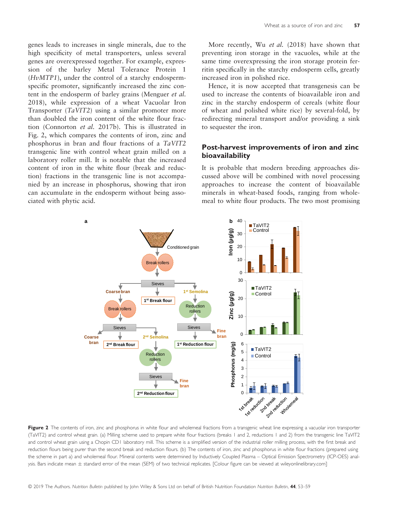genes leads to increases in single minerals, due to the high specificity of metal transporters, unless several genes are overexpressed together. For example, expression of the barley Metal Tolerance Protein 1 (HvMTP1), under the control of a starchy endospermspecific promoter, significantly increased the zinc content in the endosperm of barley grains (Menguer et al. 2018), while expression of a wheat Vacuolar Iron Transporter (TaVIT2) using a similar promoter more than doubled the iron content of the white flour fraction (Connorton et al. 2017b). This is illustrated in Fig. 2, which compares the contents of iron, zinc and phosphorus in bran and flour fractions of a TaVIT2 transgenic line with control wheat grain milled on a laboratory roller mill. It is notable that the increased content of iron in the white flour (break and reduction) fractions in the transgenic line is not accompanied by an increase in phosphorus, showing that iron can accumulate in the endosperm without being associated with phytic acid.

More recently, Wu et al. (2018) have shown that preventing iron storage in the vacuoles, while at the same time overexpressing the iron storage protein ferritin specifically in the starchy endosperm cells, greatly increased iron in polished rice.

Hence, it is now accepted that transgenesis can be used to increase the contents of bioavailable iron and zinc in the starchy endosperm of cereals (white flour of wheat and polished white rice) by several-fold, by redirecting mineral transport and/or providing a sink to sequester the iron.

# Post-harvest improvements of iron and zinc bioavailability

It is probable that modern breeding approaches discussed above will be combined with novel processing approaches to increase the content of bioavailable minerals in wheat-based foods, ranging from wholemeal to white flour products. The two most promising



Figure 2 The contents of iron, zinc and phosphorus in white flour and wholemeal fractions from a transgenic wheat line expressing a vacuolar iron transporter (TaVIT2) and control wheat grain. (a) Milling scheme used to prepare white flour fractions (breaks 1 and 2, reductions 1 and 2) from the transgenic line TaVIT2 and control wheat grain using a Chopin CD1 laboratory mill. This scheme is a simplified version of the industrial roller milling process, with the first break and reduction flours being purer than the second break and reduction flours. (b) The contents of iron, zinc and phosphorus in white flour fractions (prepared using the scheme in part a) and wholemeal flour. Mineral contents were determined by Inductively Coupled Plasma – Optical Emission Spectrometry (ICP-OES) analysis. Bars indicate mean ± standard error of the mean (SEM) of two technical replicates. [Colour figure can be viewed at wileyonlinelibrary.com]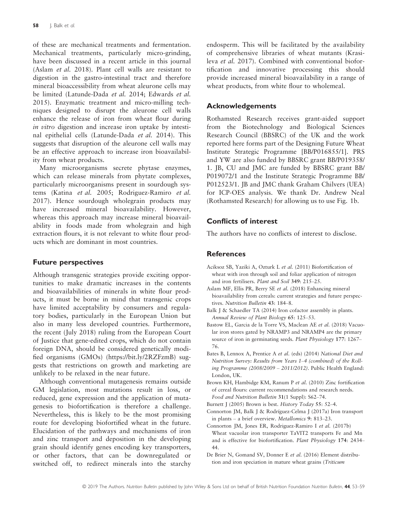of these are mechanical treatments and fermentation. Mechanical treatments, particularly micro-grinding, have been discussed in a recent article in this journal (Aslam et al. 2018). Plant cell walls are resistant to digestion in the gastro-intestinal tract and therefore mineral bioaccessibility from wheat aleurone cells may be limited (Latunde-Dada et al. 2014; Edwards et al. 2015). Enzymatic treatment and micro-milling techniques designed to disrupt the aleurone cell walls enhance the release of iron from wheat flour during in vitro digestion and increase iron uptake by intestinal epithelial cells (Latunde-Dada et al. 2014). This suggests that disruption of the aleurone cell walls may be an effective approach to increase iron bioavailability from wheat products.

Many microorganisms secrete phytase enzymes, which can release minerals from phytate complexes, particularly microorganisms present in sourdough systems (Katina et al. 2005; Rodriguez-Ramiro et al. 2017). Hence sourdough wholegrain products may have increased mineral bioavailability. However, whereas this approach may increase mineral bioavailability in foods made from wholegrain and high extraction flours, it is not relevant to white flour products which are dominant in most countries.

# Future perspectives

Although transgenic strategies provide exciting opportunities to make dramatic increases in the contents and bioavailabilities of minerals in white flour products, it must be borne in mind that transgenic crops have limited acceptability by consumers and regulatory bodies, particularly in the European Union but also in many less developed countries. Furthermore, the recent (July 2018) ruling from the European Court of Justice that gene-edited crops, which do not contain foreign DNA, should be considered genetically modified organisms (GMOs) [\(https://bit.ly/2RZFzmB](https://bit.ly/2RZFzmB)) suggests that restrictions on growth and marketing are unlikely to be relaxed in the near future.

Although conventional mutagenesis remains outside GM legislation, most mutations result in loss, or reduced, gene expression and the application of mutagenesis to biofortification is therefore a challenge. Nevertheless, this is likely to be the most promising route for developing biofortified wheat in the future. Elucidation of the pathways and mechanisms of iron and zinc transport and deposition in the developing grain should identify genes encoding key transporters, or other factors, that can be downregulated or switched off, to redirect minerals into the starchy endosperm. This will be facilitated by the availability of comprehensive libraries of wheat mutants (Krasileva et al. 2017). Combined with conventional biofortification and innovative processing this should provide increased mineral bioavailability in a range of wheat products, from white flour to wholemeal.

# Acknowledgements

Rothamsted Research receives grant-aided support from the Biotechnology and Biological Sciences Research Council (BBSRC) of the UK and the work reported here forms part of the Designing Future Wheat Institute Strategic Programme [BB/P016855/1]. PRS and YW are also funded by BBSRC grant BB/P019358/ 1. JB, CU and JMC are funded by BBSRC grant BB/ P019072/1 and the Institute Strategic Programme BB/ P012523/1. JB and JMC thank Graham Chilvers (UEA) for ICP-OES analysis. We thank Dr. Andrew Neal (Rothamsted Research) for allowing us to use Fig. 1b.

# Conflicts of interest

The authors have no conflicts of interest to disclose.

# **References**

- Aciksoz SB, Yaziki A, Ozturk L et al. (2011) Biofortification of wheat with iron through soil and foliar application of nitrogen and iron fertilisers. Plant and Soil 349: 215–25.
- Aslam MF, Ellis PR, Berry SE et al. (2018) Enhancing mineral bioavailability from cereals: current strategies and future perspectives. Nutrition Bulletin 43: 184–8.
- Balk J & Schaedler TA (2014) Iron cofactor assembly in plants. Annual Review of Plant Biology 65: 125–53.
- Bastow EL, Garcia de la Torre VS, Maclean AE et al. (2018) Vacuolar iron stores gated by NRAMP3 and NRAMP4 are the primary source of iron in germinating seeds. Plant Physiology 177: 1267– 76.
- Bates B, Lennox A, Prentice A et al. (eds) (2014) National Diet and Nutrition Survey: Results from Years 1–4 (combined) of the Rolling Programme (2008/2009 – 2011/2012). Public Health England: London, UK.
- Brown KH, Hambidge KM, Ranum P et al. (2010) Zinc fortification of cereal flours: current recommendations and research needs. Food and Nutrition Bulletin 31(1 Suppl): S62–74.
- Burnett J (2005) Brown is best. History Today 55: 52-4.
- Connorton JM, Balk J & Rodrıguez-Celma J (2017a) Iron transport in plants – a brief overview. Metallomics 9: 813–23.
- Connorton JM, Jones ER, Rodriguez-Ramiro I et al. (2017b) Wheat vacuolar iron transporter TaVIT2 transports Fe and Mn and is effective for biofortification. Plant Physiology 174: 2434– 44.
- De Brier N, Gomand SV, Donner E et al. (2016) Element distribution and iron speciation in mature wheat grains (Triticum